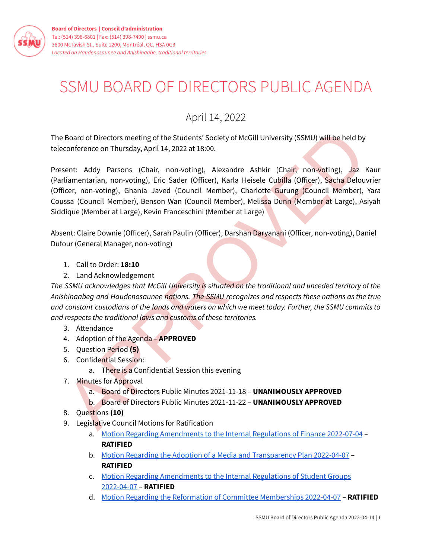

## SSMU BOARD OF DIRECTORS PUBLIC AGENDA

## April 14, 2022

The Board of Directors meeting of the Students' Society of McGill University (SSMU) will be held by teleconference on Thursday, April 14, 2022 at 18:00.

Board of Directors meeting of the Students' Society of McGill University (SSMU) will be held by<br>conference on Thursday, [A](https://ssmu.ca/wp-content/uploads/2022/04/Motion-Regarding-Amendments-to-the-Internal-Regulations-of-Finance-2022-07-04-Approved.pdf?x21981)pril 14, 2022 at 18:00.<br>
Seent: Addy Parsons (Chair, non-voting), Alexandre Ashkir (Chair, non-voting Present: Addy Parsons (Chair, non-voting), Alexandre Ashkir (Chair, non-voting), Jaz Kaur (Parliamentarian, non-voting), Eric Sader (Officer), Karla Heisele Cubilla (Officer), Sacha Delouvrier (Officer, non-voting), Ghania Javed (Council Member), Charlotte Gurung (Council Member), Yara Coussa (Council Member), Benson Wan (Council Member), Melissa Dunn (Member at Large), Asiyah Siddique (Member at Large), Kevin Franceschini (Member at Large)

Absent: Claire Downie (Officer), Sarah Paulin (Officer), Darshan Daryanani (Officer, non-voting), Daniel Dufour (General Manager, non-voting)

- 1. Call to Order: **18:10**
- 2. Land Acknowledgement

*The SSMU acknowledges that McGill University is situated on the traditional and unceded territory of the Anishinaabeg and Haudenosaunee nations. The SSMU recognizes and respects these nations as the true* and constant custodians of the lands and waters on which we meet today. Further, the SSMU commits to *and respects the traditional laws and customs of these territories.*

- 3. Attendance
- 4. Adoption of the Agenda **APPROVED**
- 5. Question Period **(5)**
- 6. Confidential Session:
	- a. There is a Confidential Session this evening
- 7. Minutes for Approval
	- a. Board of Directors Public Minutes 2021-11-18 **UNANIMOUSLY APPROVED**
	- b. Board of Directors Public Minutes 2021-11-22 **UNANIMOUSLY APPROVED**
- 8. Questions **(10)**
- 9. Legislative Council Motions for Ratification
	- a. Motion Regarding Amendments to the Internal Regulations of Finance 2022-07-04 -**RATIFIED**
	- b. Motion Regarding the Adoption of a Media and [Transparency](https://ssmu.ca/wp-content/uploads/2022/04/Motion-Regarding-the-Adoption-of-a-Media-and-Transparency-Plan-2022-04-07-Approved.pdf?x21981) Plan 2022-04-07 **RATIFIED**
	- c. Motion Regarding [Amendments](https://ssmu.ca/wp-content/uploads/2022/04/Motion-Regarding-Amendments-to-the-Internal-Regulations-of-Student-Groups-2022-04-07-Approved.pdf?x21981) to the Internal Regulations of Student Groups [2022-04-07](https://ssmu.ca/wp-content/uploads/2022/04/Motion-Regarding-Amendments-to-the-Internal-Regulations-of-Student-Groups-2022-04-07-Approved.pdf?x21981) – **RATIFIED**
	- d. Motion Regarding the Reformation of Committee [Memberships](https://ssmu.ca/wp-content/uploads/2022/04/Motion-Regarding-the-Reformation-of-Committee-Memberships-2022-04-07-Approved.pdf?x21981) 2022-04-07 **RATIFIED**